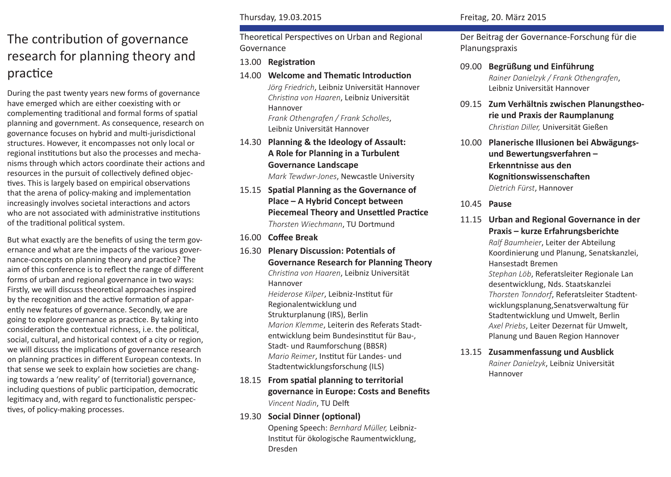# The contribution of governance research for planning theory and practice

During the past twenty years new forms of governance have emerged which are either coexisting with or complementing traditional and formal forms of spatial planning and government. As consequence, research on governance focuses on hybrid and multi-jurisdictional structures. However, it encompasses not only local or regional institutions but also the processes and mechanisms through which actors coordinate their actions and resources in the pursuit of collectively defined objectives. This is largely based on empirical observations that the arena of policy-making and implementation increasingly involves societal interactions and actors who are not associated with administrative institutions of the traditional political system.

But what exactly are the benefits of using the term governance and what are the impacts of the various governance-concepts on planning theory and practice? The aim of this conference is to reflect the range of different forms of urban and regional governance in two ways: Firstly, we will discuss theoretical approaches inspired by the recognition and the active formation of apparently new features of governance. Secondly, we are going to explore governance as practice. By taking into consideration the contextual richness, i.e. the political, social, cultural, and historical context of a city or region, we will discuss the implications of governance research on planning practices in different European contexts. In that sense we seek to explain how societies are changing towards a 'new reality' of (territorial) governance, including questions of public participation, democratic legitimacy and, with regard to functionalistic perspectives, of policy-making processes.

Theoretical Perspectives on Urban and Regional Governance

# 13.00 **Registration**

- 14.00 **Welcome and Thematic Introduction** *Jörg Friedrich*, Leibniz Universität Hannover *Christina von Haaren*, Leibniz Universität Hannover *Frank Othengrafen / Frank Scholles*, Leibniz Universität Hannover
- 14.30 **Planning & the Ideology of Assault: A Role for Planning in a Turbulent Governance Landscape**

*Mark Tewdwr-Jones*, Newcastle University

- 15.15 **Spatial Planning as the Governance of Place – A Hybrid Concept between Piecemeal Theory and Unsettled Practice** *Thorsten Wiechmann*, TU Dortmund
- 16.00 **Coffee Break**
- 16.30 **Plenary Discussion: Potentials of Governance Research for Planning Theory** *Christina von Haaren*, Leibniz Universität Hannover *Heiderose Kilper*, Leibniz-Institut für Regionalentwicklung und Strukturplanung (IRS), Berlin *Marion Klemme*, Leiterin des Referats Stadtentwicklung beim Bundesinstitut für Bau-, Stadt- und Raumforschung (BBSR) *Mario Reimer*, Institut für Landes- und Stadtentwicklungsforschung (ILS)
- 18.15 **From spatial planning to territorial governance in Europe: Costs and Benefits** *Vincent Nadin*, TU Delft

# 19.30 **Social Dinner (optional)**

Opening Speech: *Bernhard Müller,* Leibniz-Institut für ökologische Raumentwicklung, Dresden

Der Beitrag der Governance-Forschung für die Planungspraxis

- 09.00 **Begrüßung und Einführung** *Rainer Danielzyk / Frank Othengrafen*, Leibniz Universität Hannover
- 09.15 **Zum Verhältnis zwischen Planungstheorie und Praxis der Raumplanung** *Christian Diller,* Universität Gießen
- 10.00 **Planerische Illusionen bei Abwägungsund Bewertungsverfahren – Erkenntnisse aus den Kognitionswissenschaften** *Dietrich Fürst*, Hannover
- 10.45 **Pause**

# 11.15 **Urban and Regional Governance in der Praxis – kurze Erfahrungsberichte**

*Ralf Baumheier*, Leiter der Abteilung Koordinierung und Planung, Senatskanzlei, Hansestadt Bremen

*Stephan Löb*, Referatsleiter Regionale Lan desentwicklung, Nds. Staatskanzlei *Thorsten Tonndorf*, Referatsleiter Stadtentwicklungsplanung,Senatsverwaltung für Stadtentwicklung und Umwelt, Berlin *Axel Priebs*, Leiter Dezernat für Umwelt, Planung und Bauen Region Hannover

13.15 **Zusammenfassung und Ausblick**

*Rainer Danielzyk*, Leibniz Universität Hannover